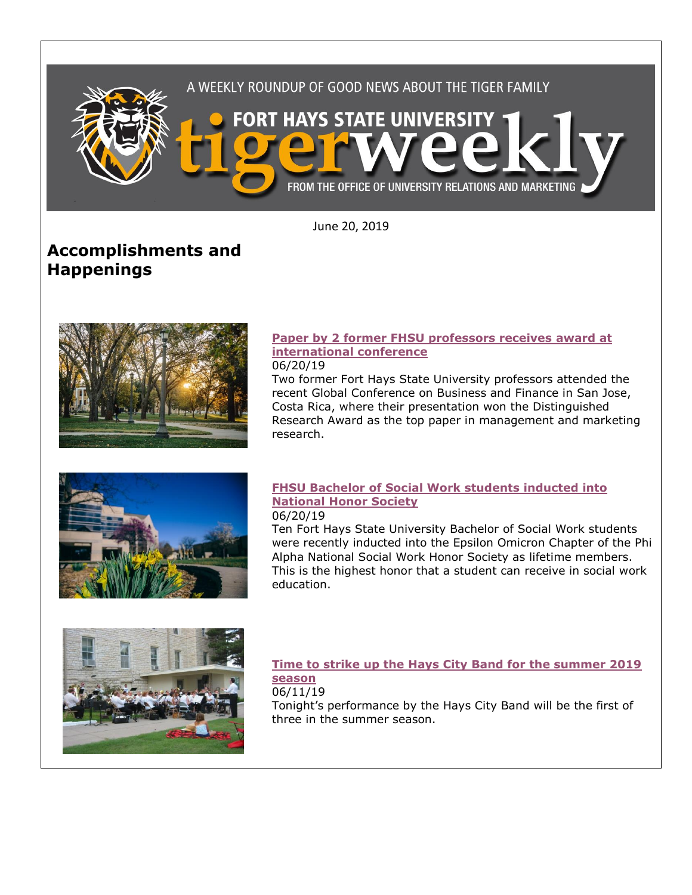

June 20, 2019

# **Accomplishments and Happenings**



### **Paper [by 2 former FHSU professors receives award at](https://www.fhsu.edu/news/2019/06/paper-by-2-former-fhsu-professors-receives-award-at-international-conference)  [international conference](https://www.fhsu.edu/news/2019/06/paper-by-2-former-fhsu-professors-receives-award-at-international-conference)**

06/20/19

Two former Fort Hays State University professors attended the recent Global Conference on Business and Finance in San Jose, Costa Rica, where their presentation won the Distinguished Research Award as the top paper in management and marketing research.



### **[FHSU Bachelor of Social Work students inducted into](https://www.fhsu.edu/news/2019/06/fhsu-bachelor-of-social-work-students-inducted-into-national-honor-society)  [National Honor Society](https://www.fhsu.edu/news/2019/06/fhsu-bachelor-of-social-work-students-inducted-into-national-honor-society)** 06/20/19

Ten Fort Hays State University Bachelor of Social Work students were recently inducted into the Epsilon Omicron Chapter of the Phi Alpha National Social Work Honor Society as lifetime members. This is the highest honor that a student can receive in social work education.



### **[Time to strike up the Hays City Band for the summer 2019](https://www.fhsu.edu/news/2019/06/time-to-strike-up-the-hays-city-band-for-the-summer-2019-season)  [season](https://www.fhsu.edu/news/2019/06/time-to-strike-up-the-hays-city-band-for-the-summer-2019-season)**

06/11/19

Tonight's performance by the Hays City Band will be the first of three in the summer season.